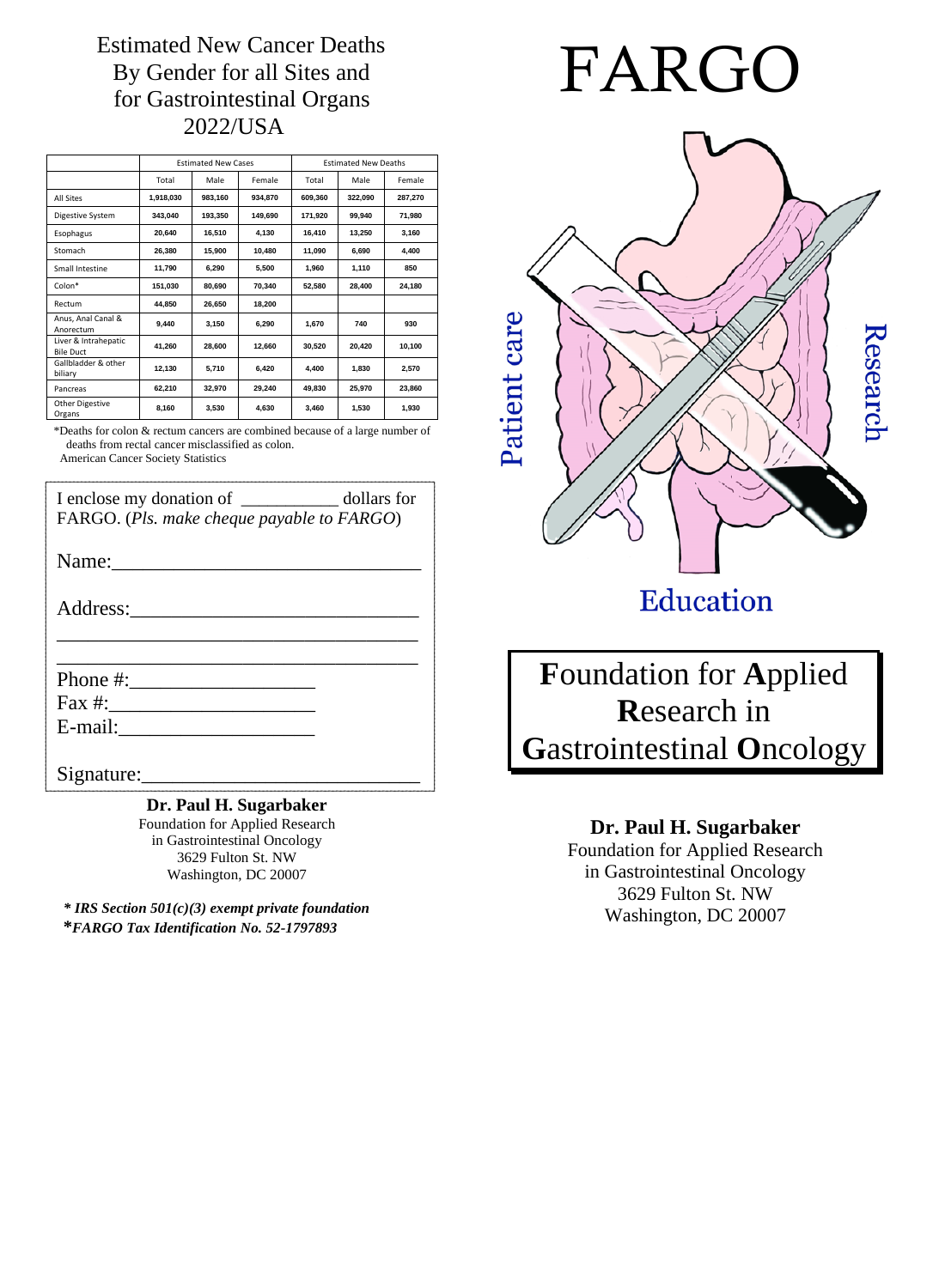Estimated New Cancer Deaths By Gender for all Sites and for Gastrointestinal Organs 2022/USA

|                                          | <b>Estimated New Cases</b> |         |         | <b>Estimated New Deaths</b> |         |         |
|------------------------------------------|----------------------------|---------|---------|-----------------------------|---------|---------|
|                                          | Total                      | Male    | Female  | Total                       | Male    | Female  |
| <b>All Sites</b>                         | 1.918.030                  | 983.160 | 934.870 | 609.360                     | 322.090 | 287.270 |
| Digestive System                         | 343,040                    | 193,350 | 149.690 | 171,920                     | 99.940  | 71,980  |
| Esophagus                                | 20.640                     | 16,510  | 4,130   | 16.410                      | 13.250  | 3.160   |
| Stomach                                  | 26,380                     | 15,900  | 10.480  | 11.090                      | 6,690   | 4.400   |
| Small Intestine                          | 11.790                     | 6.290   | 5,500   | 1.960                       | 1,110   | 850     |
| Colon*                                   | 151,030                    | 80.690  | 70.340  | 52,580                      | 28.400  | 24.180  |
| Rectum                                   | 44.850                     | 26,650  | 18,200  |                             |         |         |
| Anus, Anal Canal &<br>Anorectum          | 9,440                      | 3.150   | 6.290   | 1,670                       | 740     | 930     |
| Liver & Intrahepatic<br><b>Bile Duct</b> | 41,260                     | 28.600  | 12,660  | 30.520                      | 20.420  | 10,100  |
| Gallbladder & other<br>biliary           | 12,130                     | 5,710   | 6.420   | 4.400                       | 1.830   | 2.570   |
| Pancreas                                 | 62,210                     | 32,970  | 29,240  | 49.830                      | 25,970  | 23.860  |
| <b>Other Digestive</b><br>Organs         | 8,160                      | 3,530   | 4.630   | 3.460                       | 1,530   | 1.930   |

\*Deaths for colon & rectum cancers are combined because of a large number of deaths from rectal cancer misclassified as colon. American Cancer Society Statistics

I enclose my donation of \_\_\_\_\_\_\_\_\_\_\_\_\_\_\_\_\_ dollars for

FARGO. (*Pls. make cheque payable to FARGO*)

\_\_\_\_\_\_\_\_\_\_\_\_\_\_\_\_\_\_\_\_\_\_\_\_\_\_\_\_\_\_\_\_\_\_\_

Name:\_\_\_\_\_\_\_\_\_\_\_\_\_\_\_\_\_\_\_\_\_\_\_\_\_\_\_\_\_\_

Address:\_\_\_\_\_\_\_\_\_\_\_\_\_\_\_\_\_\_\_\_\_\_\_\_\_\_\_\_

\_\_\_\_\_\_\_\_\_\_\_\_\_\_\_\_\_\_\_\_\_\_\_\_\_\_\_\_\_\_\_\_\_\_\_ Phone #:\_\_\_\_\_\_\_\_\_\_\_\_\_\_\_\_\_\_ Fax #:\_\_\_\_\_\_\_\_\_\_\_\_\_\_\_\_\_\_\_\_

E-mail:

Signature:

#### **Dr. Paul H. Sugarbaker**

Foundation for Applied Research in Gastrointestinal Oncology 3629 Fulton St. NW Washington, DC 20007

*\* IRS Section 501(c)(3) exempt private foundation* **\****FARGO Tax Identification No. 52-1797893*



# Education

**F**oundation for **A**pplied **R**esearch in **G**astrointestinal **O**ncology

### **Dr. Paul H. Sugarbaker**

Foundation for Applied Research in Gastrointestinal Oncology 3629 Fulton St. NW Washington, DC 20007